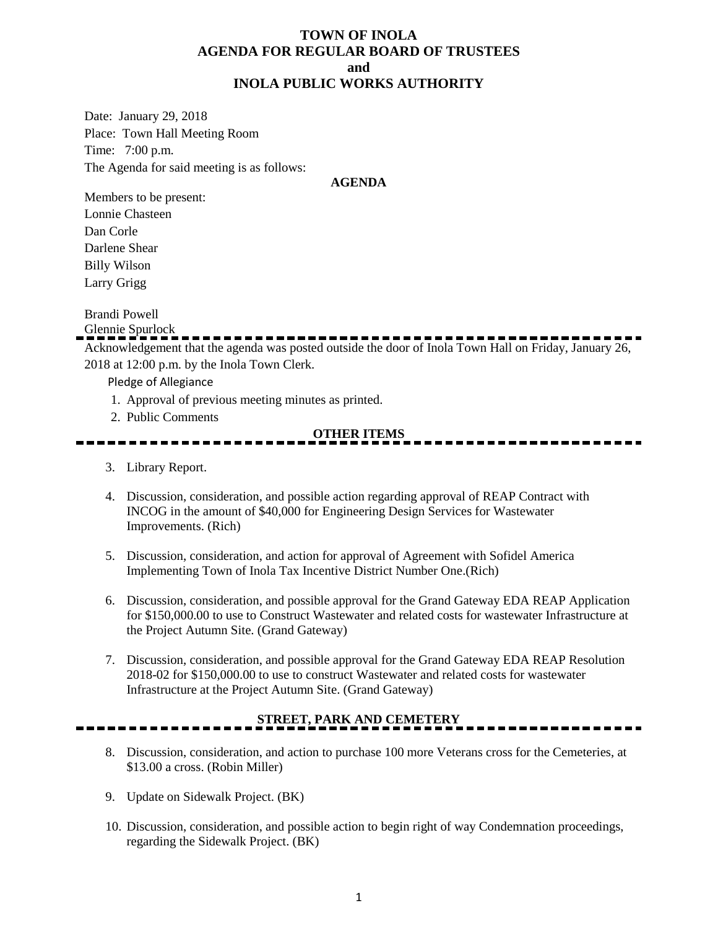#### **TOWN OF INOLA AGENDA FOR REGULAR BOARD OF TRUSTEES and INOLA PUBLIC WORKS AUTHORITY**

Date: January 29, 2018 Place: Town Hall Meeting Room Time: 7:00 p.m. The Agenda for said meeting is as follows:

#### **AGENDA**

Members to be present: Lonnie Chasteen Dan Corle Darlene Shear Billy Wilson Larry Grigg

Brandi Powell

Glennie Spurlock

Acknowledgement that the agenda was posted outside the door of Inola Town Hall on Friday, January 26, 2018 at 12:00 p.m. by the Inola Town Clerk.

Pledge of Allegiance

- 1. Approval of previous meeting minutes as printed.
- 2. Public Comments

#### **OTHER ITEMS**

- 3. Library Report.
- 4. Discussion, consideration, and possible action regarding approval of REAP Contract with INCOG in the amount of \$40,000 for Engineering Design Services for Wastewater Improvements. (Rich)
- 5. Discussion, consideration, and action for approval of Agreement with Sofidel America Implementing Town of Inola Tax Incentive District Number One.(Rich)
- 6. Discussion, consideration, and possible approval for the Grand Gateway EDA REAP Application for \$150,000.00 to use to Construct Wastewater and related costs for wastewater Infrastructure at the Project Autumn Site. (Grand Gateway)
- 7. Discussion, consideration, and possible approval for the Grand Gateway EDA REAP Resolution 2018-02 for \$150,000.00 to use to construct Wastewater and related costs for wastewater Infrastructure at the Project Autumn Site. (Grand Gateway)

## **STREET, PARK AND CEMETERY**

- 8. Discussion, consideration, and action to purchase 100 more Veterans cross for the Cemeteries, at \$13.00 a cross. (Robin Miller)
- 9. Update on Sidewalk Project. (BK)
- 10. Discussion, consideration, and possible action to begin right of way Condemnation proceedings, regarding the Sidewalk Project. (BK)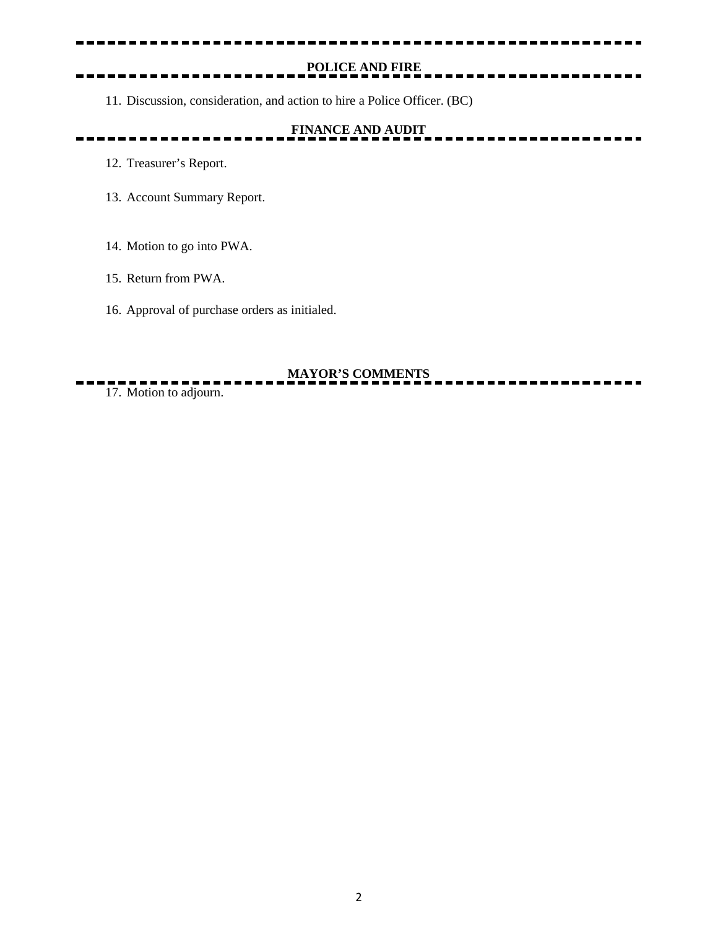# **POLICE AND FIRE**

----------------

11. Discussion, consideration, and action to hire a Police Officer. (BC)

# **FINANCE AND AUDIT**

- 12. Treasurer's Report.
- 13. Account Summary Report.
- 14. Motion to go into PWA.
- 15. Return from PWA.
- 16. Approval of purchase orders as initialed.

#### **MAYOR'S COMMENTS**

17. Motion to adjourn.